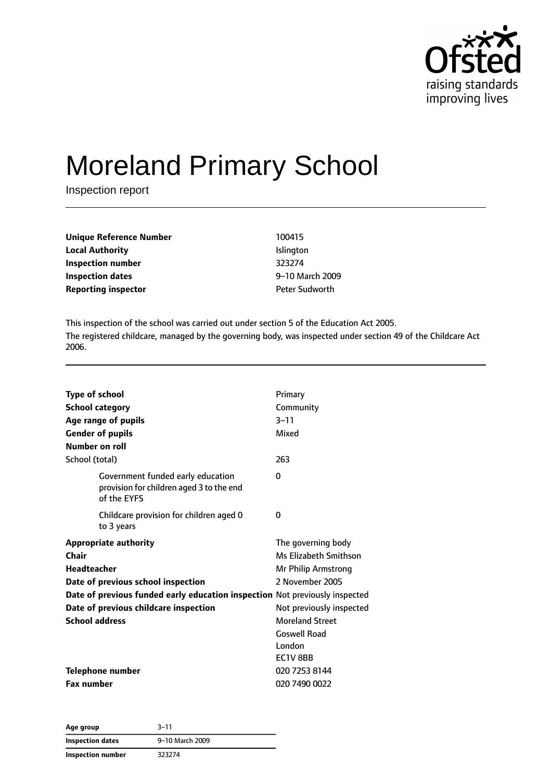

# Moreland Primary School

Inspection report

| Unique Reference Number    | 100415                |
|----------------------------|-----------------------|
| <b>Local Authority</b>     | <b>Islington</b>      |
| Inspection number          | 323274                |
| <b>Inspection dates</b>    | 9-10 March 2009       |
| <b>Reporting inspector</b> | <b>Peter Sudworth</b> |

This inspection of the school was carried out under section 5 of the Education Act 2005. The registered childcare, managed by the governing body, was inspected under section 49 of the Childcare Act 2006.

| <b>Type of school</b><br><b>School category</b><br>Age range of pupils<br><b>Gender of pupils</b> | Primary<br>Community<br>$3 - 11$<br>Mixed |
|---------------------------------------------------------------------------------------------------|-------------------------------------------|
| Number on roll                                                                                    |                                           |
| School (total)                                                                                    | 263                                       |
| Government funded early education<br>provision for children aged 3 to the end<br>of the EYFS      | 0                                         |
| Childcare provision for children aged 0<br>to 3 years                                             | 0                                         |
| <b>Appropriate authority</b>                                                                      | The governing body                        |
| Chair                                                                                             | Ms Elizabeth Smithson                     |
| <b>Headteacher</b>                                                                                | Mr Philip Armstrong                       |
| Date of previous school inspection                                                                | 2 November 2005                           |
| Date of previous funded early education inspection Not previously inspected                       |                                           |
| Date of previous childcare inspection                                                             | Not previously inspected                  |
| <b>School address</b>                                                                             | <b>Moreland Street</b>                    |
|                                                                                                   | <b>Goswell Road</b>                       |
|                                                                                                   | London                                    |
|                                                                                                   | EC1V 8BB                                  |
| <b>Telephone number</b>                                                                           | 020 7253 8144                             |
| <b>Fax number</b>                                                                                 | 020 7490 0022                             |

| Age group         | $3 - 11$        |
|-------------------|-----------------|
| Inspection dates  | 9-10 March 2009 |
| Inspection number | 323274          |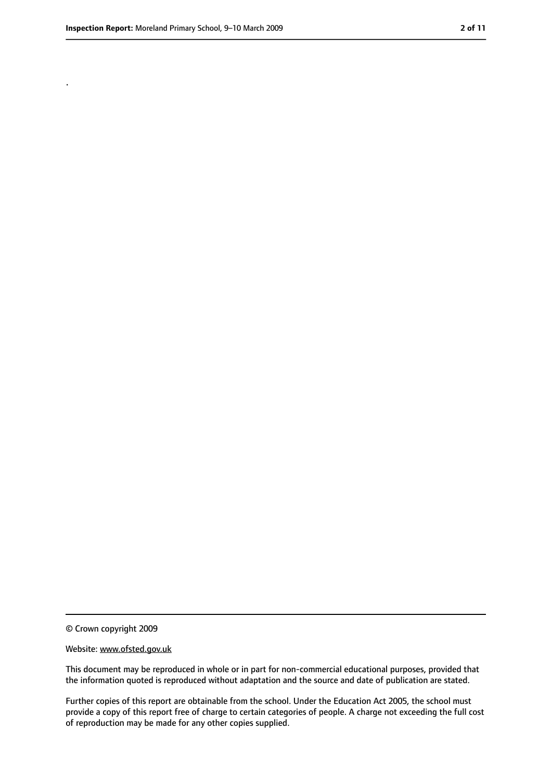.

<sup>©</sup> Crown copyright 2009

Website: www.ofsted.gov.uk

This document may be reproduced in whole or in part for non-commercial educational purposes, provided that the information quoted is reproduced without adaptation and the source and date of publication are stated.

Further copies of this report are obtainable from the school. Under the Education Act 2005, the school must provide a copy of this report free of charge to certain categories of people. A charge not exceeding the full cost of reproduction may be made for any other copies supplied.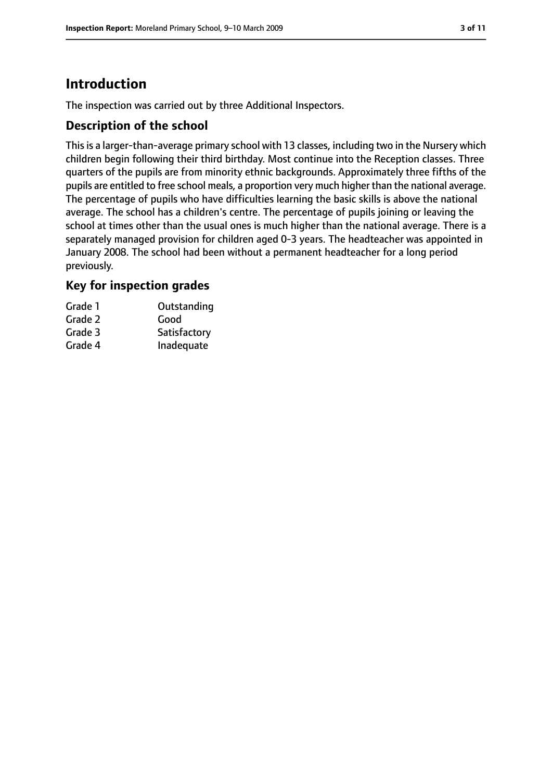# **Introduction**

The inspection was carried out by three Additional Inspectors.

## **Description of the school**

This is a larger-than-average primary school with 13 classes, including two in the Nursery which children begin following their third birthday. Most continue into the Reception classes. Three quarters of the pupils are from minority ethnic backgrounds. Approximately three fifths of the pupils are entitled to free school meals, a proportion very much higher than the national average. The percentage of pupils who have difficulties learning the basic skills is above the national average. The school has a children's centre. The percentage of pupils joining or leaving the school at times other than the usual ones is much higher than the national average. There is a separately managed provision for children aged 0-3 years. The headteacher was appointed in January 2008. The school had been without a permanent headteacher for a long period previously.

## **Key for inspection grades**

| Grade 1 | Outstanding  |
|---------|--------------|
| Grade 2 | Good         |
| Grade 3 | Satisfactory |
| Grade 4 | Inadequate   |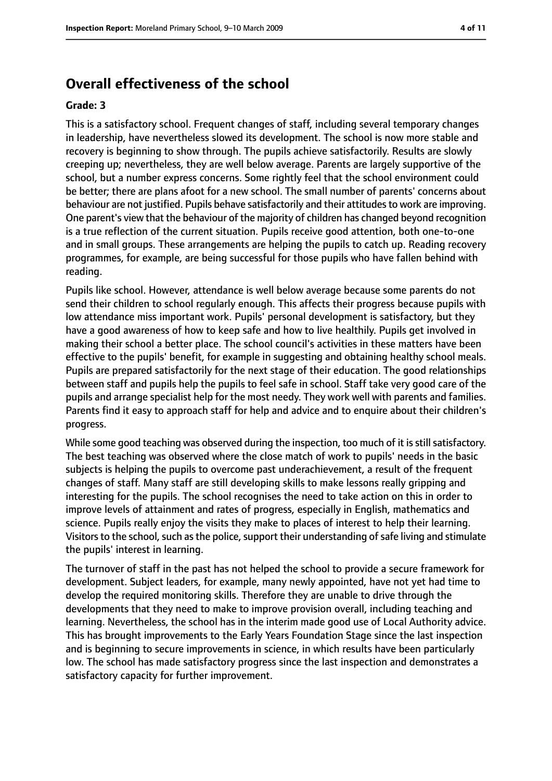## **Overall effectiveness of the school**

#### **Grade: 3**

This is a satisfactory school. Frequent changes of staff, including several temporary changes in leadership, have nevertheless slowed its development. The school is now more stable and recovery is beginning to show through. The pupils achieve satisfactorily. Results are slowly creeping up; nevertheless, they are well below average. Parents are largely supportive of the school, but a number express concerns. Some rightly feel that the school environment could be better; there are plans afoot for a new school. The small number of parents' concerns about behaviour are not justified. Pupils behave satisfactorily and their attitudes to work are improving. One parent's view that the behaviour of the majority of children has changed beyond recognition is a true reflection of the current situation. Pupils receive good attention, both one-to-one and in small groups. These arrangements are helping the pupils to catch up. Reading recovery programmes, for example, are being successful for those pupils who have fallen behind with reading.

Pupils like school. However, attendance is well below average because some parents do not send their children to school regularly enough. This affects their progress because pupils with low attendance miss important work. Pupils' personal development is satisfactory, but they have a good awareness of how to keep safe and how to live healthily. Pupils get involved in making their school a better place. The school council's activities in these matters have been effective to the pupils' benefit, for example in suggesting and obtaining healthy school meals. Pupils are prepared satisfactorily for the next stage of their education. The good relationships between staff and pupils help the pupils to feel safe in school. Staff take very good care of the pupils and arrange specialist help for the most needy. They work well with parents and families. Parents find it easy to approach staff for help and advice and to enquire about their children's progress.

While some good teaching was observed during the inspection, too much of it is still satisfactory. The best teaching was observed where the close match of work to pupils' needs in the basic subjects is helping the pupils to overcome past underachievement, a result of the frequent changes of staff. Many staff are still developing skills to make lessons really gripping and interesting for the pupils. The school recognises the need to take action on this in order to improve levels of attainment and rates of progress, especially in English, mathematics and science. Pupils really enjoy the visits they make to places of interest to help their learning. Visitors to the school, such as the police, support their understanding of safe living and stimulate the pupils' interest in learning.

The turnover of staff in the past has not helped the school to provide a secure framework for development. Subject leaders, for example, many newly appointed, have not yet had time to develop the required monitoring skills. Therefore they are unable to drive through the developments that they need to make to improve provision overall, including teaching and learning. Nevertheless, the school has in the interim made good use of Local Authority advice. This has brought improvements to the Early Years Foundation Stage since the last inspection and is beginning to secure improvements in science, in which results have been particularly low. The school has made satisfactory progress since the last inspection and demonstrates a satisfactory capacity for further improvement.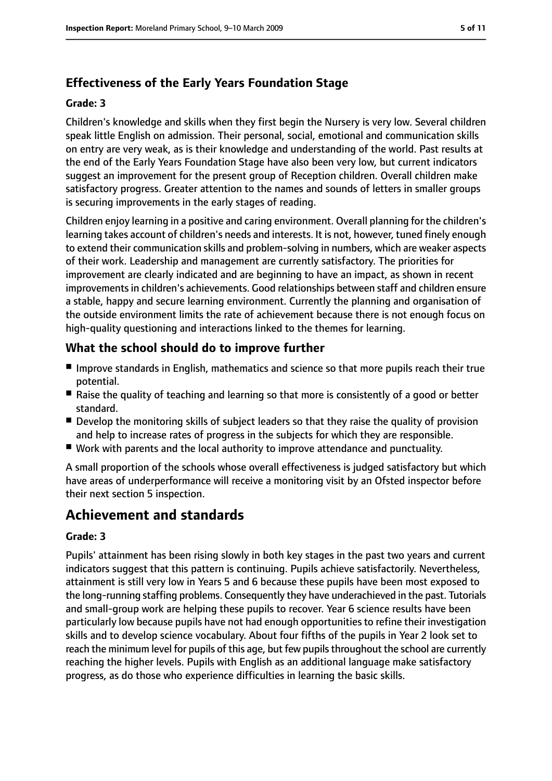## **Effectiveness of the Early Years Foundation Stage**

#### **Grade: 3**

Children's knowledge and skills when they first begin the Nursery is very low. Several children speak little English on admission. Their personal, social, emotional and communication skills on entry are very weak, as is their knowledge and understanding of the world. Past results at the end of the Early Years Foundation Stage have also been very low, but current indicators suggest an improvement for the present group of Reception children. Overall children make satisfactory progress. Greater attention to the names and sounds of letters in smaller groups is securing improvements in the early stages of reading.

Children enjoy learning in a positive and caring environment. Overall planning for the children's learning takes account of children's needs and interests. It is not, however, tuned finely enough to extend their communication skills and problem-solving in numbers, which are weaker aspects of their work. Leadership and management are currently satisfactory. The priorities for improvement are clearly indicated and are beginning to have an impact, as shown in recent improvements in children's achievements. Good relationships between staff and children ensure a stable, happy and secure learning environment. Currently the planning and organisation of the outside environment limits the rate of achievement because there is not enough focus on high-quality questioning and interactions linked to the themes for learning.

## **What the school should do to improve further**

- Improve standards in English, mathematics and science so that more pupils reach their true potential.
- Raise the quality of teaching and learning so that more is consistently of a good or better standard.
- Develop the monitoring skills of subject leaders so that they raise the quality of provision and help to increase rates of progress in the subjects for which they are responsible.
- Work with parents and the local authority to improve attendance and punctuality.

A small proportion of the schools whose overall effectiveness is judged satisfactory but which have areas of underperformance will receive a monitoring visit by an Ofsted inspector before their next section 5 inspection.

# **Achievement and standards**

#### **Grade: 3**

Pupils' attainment has been rising slowly in both key stages in the past two years and current indicators suggest that this pattern is continuing. Pupils achieve satisfactorily. Nevertheless, attainment is still very low in Years 5 and 6 because these pupils have been most exposed to the long-running staffing problems. Consequently they have underachieved in the past. Tutorials and small-group work are helping these pupils to recover. Year 6 science results have been particularly low because pupils have not had enough opportunities to refine their investigation skills and to develop science vocabulary. About four fifths of the pupils in Year 2 look set to reach the minimum level for pupils of this age, but few pupils throughout the school are currently reaching the higher levels. Pupils with English as an additional language make satisfactory progress, as do those who experience difficulties in learning the basic skills.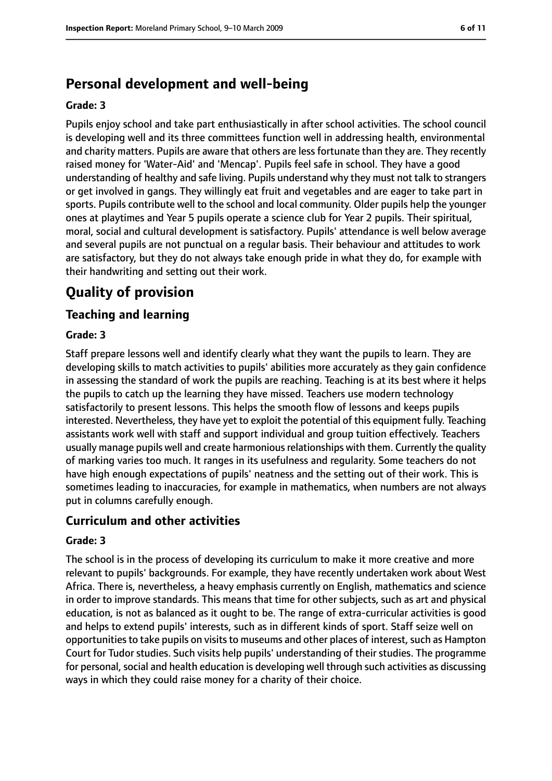# **Personal development and well-being**

#### **Grade: 3**

Pupils enjoy school and take part enthusiastically in after school activities. The school council is developing well and its three committees function well in addressing health, environmental and charity matters. Pupils are aware that others are less fortunate than they are. They recently raised money for 'Water-Aid' and 'Mencap'. Pupils feel safe in school. They have a good understanding of healthy and safe living. Pupils understand why they must not talk to strangers or get involved in gangs. They willingly eat fruit and vegetables and are eager to take part in sports. Pupils contribute well to the school and local community. Older pupils help the younger ones at playtimes and Year 5 pupils operate a science club for Year 2 pupils. Their spiritual, moral, social and cultural development is satisfactory. Pupils' attendance is well below average and several pupils are not punctual on a regular basis. Their behaviour and attitudes to work are satisfactory, but they do not always take enough pride in what they do, for example with their handwriting and setting out their work.

# **Quality of provision**

## **Teaching and learning**

#### **Grade: 3**

Staff prepare lessons well and identify clearly what they want the pupils to learn. They are developing skills to match activities to pupils' abilities more accurately as they gain confidence in assessing the standard of work the pupils are reaching. Teaching is at its best where it helps the pupils to catch up the learning they have missed. Teachers use modern technology satisfactorily to present lessons. This helps the smooth flow of lessons and keeps pupils interested. Nevertheless, they have yet to exploit the potential of this equipment fully. Teaching assistants work well with staff and support individual and group tuition effectively. Teachers usually manage pupils well and create harmonious relationships with them. Currently the quality of marking varies too much. It ranges in its usefulness and regularity. Some teachers do not have high enough expectations of pupils' neatness and the setting out of their work. This is sometimes leading to inaccuracies, for example in mathematics, when numbers are not always put in columns carefully enough.

#### **Curriculum and other activities**

#### **Grade: 3**

The school is in the process of developing its curriculum to make it more creative and more relevant to pupils' backgrounds. For example, they have recently undertaken work about West Africa. There is, nevertheless, a heavy emphasis currently on English, mathematics and science in order to improve standards. This means that time for other subjects, such as art and physical education, is not as balanced as it ought to be. The range of extra-curricular activities is good and helps to extend pupils' interests, such as in different kinds of sport. Staff seize well on opportunities to take pupils on visits to museums and other places of interest, such as Hampton Court for Tudor studies. Such visits help pupils' understanding of their studies. The programme for personal, social and health education is developing well through such activities as discussing ways in which they could raise money for a charity of their choice.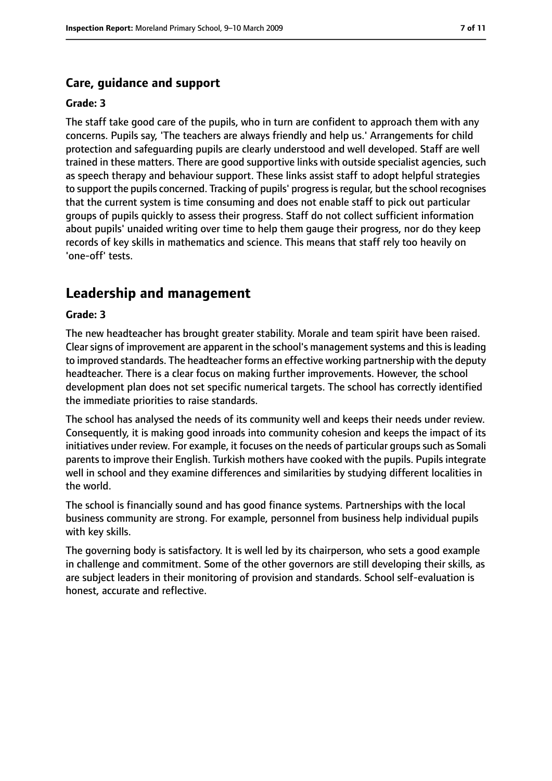## **Care, guidance and support**

#### **Grade: 3**

The staff take good care of the pupils, who in turn are confident to approach them with any concerns. Pupils say, 'The teachers are always friendly and help us.' Arrangements for child protection and safeguarding pupils are clearly understood and well developed. Staff are well trained in these matters. There are good supportive links with outside specialist agencies, such as speech therapy and behaviour support. These links assist staff to adopt helpful strategies to support the pupils concerned. Tracking of pupils' progressisregular, but the school recognises that the current system is time consuming and does not enable staff to pick out particular groups of pupils quickly to assess their progress. Staff do not collect sufficient information about pupils' unaided writing over time to help them gauge their progress, nor do they keep records of key skills in mathematics and science. This means that staff rely too heavily on 'one-off' tests.

## **Leadership and management**

#### **Grade: 3**

The new headteacher has brought greater stability. Morale and team spirit have been raised. Clear signs of improvement are apparent in the school's management systems and this is leading to improved standards. The headteacher forms an effective working partnership with the deputy headteacher. There is a clear focus on making further improvements. However, the school development plan does not set specific numerical targets. The school has correctly identified the immediate priorities to raise standards.

The school has analysed the needs of its community well and keeps their needs under review. Consequently, it is making good inroads into community cohesion and keeps the impact of its initiatives under review. For example, it focuses on the needs of particular groups such as Somali parents to improve their English. Turkish mothers have cooked with the pupils. Pupils integrate well in school and they examine differences and similarities by studying different localities in the world.

The school is financially sound and has good finance systems. Partnerships with the local business community are strong. For example, personnel from business help individual pupils with key skills.

The governing body is satisfactory. It is well led by its chairperson, who sets a good example in challenge and commitment. Some of the other governors are still developing their skills, as are subject leaders in their monitoring of provision and standards. School self-evaluation is honest, accurate and reflective.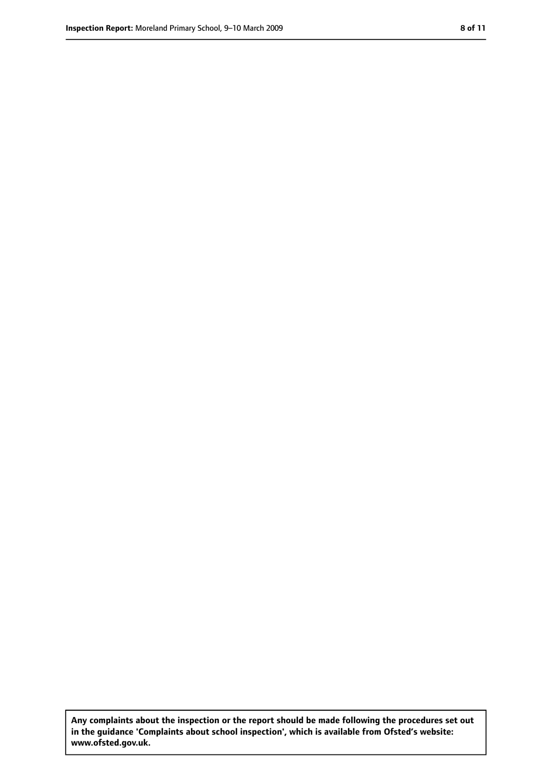**Any complaints about the inspection or the report should be made following the procedures set out in the guidance 'Complaints about school inspection', which is available from Ofsted's website: www.ofsted.gov.uk.**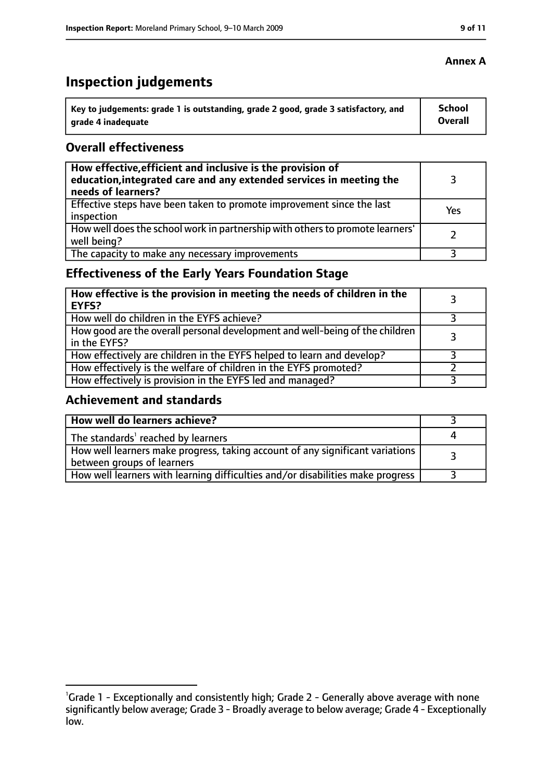# **Inspection judgements**

| ˈ Key to judgements: grade 1 is outstanding, grade 2 good, grade 3 satisfactory, and | School         |
|--------------------------------------------------------------------------------------|----------------|
| grade 4 inadequate                                                                   | <b>Overall</b> |

#### **Overall effectiveness**

| How effective, efficient and inclusive is the provision of<br>education, integrated care and any extended services in meeting the<br>needs of learners? |     |
|---------------------------------------------------------------------------------------------------------------------------------------------------------|-----|
| Effective steps have been taken to promote improvement since the last<br>inspection                                                                     | Yes |
| How well does the school work in partnership with others to promote learners'<br>well being?                                                            |     |
| The capacity to make any necessary improvements                                                                                                         |     |

## **Effectiveness of the Early Years Foundation Stage**

| How effective is the provision in meeting the needs of children in the<br>l EYFS?            |  |
|----------------------------------------------------------------------------------------------|--|
| How well do children in the EYFS achieve?                                                    |  |
| How good are the overall personal development and well-being of the children<br>in the EYFS? |  |
| How effectively are children in the EYFS helped to learn and develop?                        |  |
| How effectively is the welfare of children in the EYFS promoted?                             |  |
| How effectively is provision in the EYFS led and managed?                                    |  |

#### **Achievement and standards**

| How well do learners achieve?                                                  |  |
|--------------------------------------------------------------------------------|--|
| $\vert$ The standards <sup>1</sup> reached by learners                         |  |
| How well learners make progress, taking account of any significant variations  |  |
| between groups of learners                                                     |  |
| How well learners with learning difficulties and/or disabilities make progress |  |

## **Annex A**

<sup>&</sup>lt;sup>1</sup>Grade 1 - Exceptionally and consistently high; Grade 2 - Generally above average with none significantly below average; Grade 3 - Broadly average to below average; Grade 4 - Exceptionally low.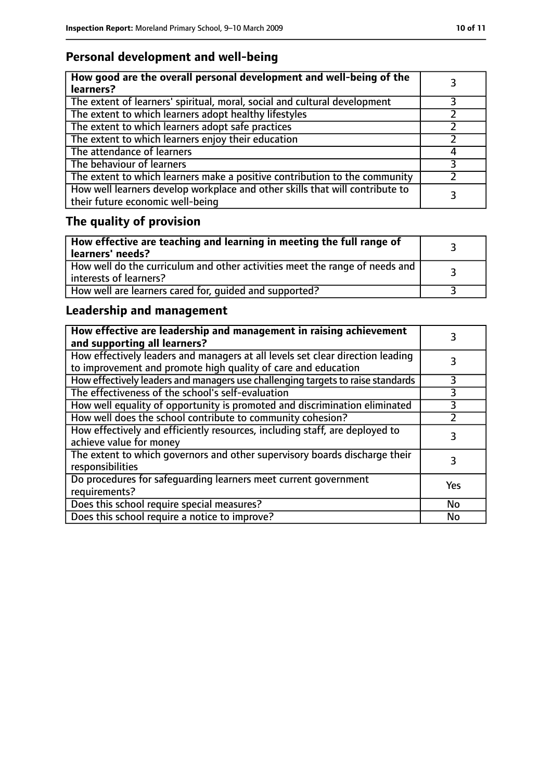## **Personal development and well-being**

| How good are the overall personal development and well-being of the<br>learners?                                 |  |
|------------------------------------------------------------------------------------------------------------------|--|
| The extent of learners' spiritual, moral, social and cultural development                                        |  |
| The extent to which learners adopt healthy lifestyles                                                            |  |
| The extent to which learners adopt safe practices                                                                |  |
| The extent to which learners enjoy their education                                                               |  |
| The attendance of learners                                                                                       |  |
| The behaviour of learners                                                                                        |  |
| The extent to which learners make a positive contribution to the community                                       |  |
| How well learners develop workplace and other skills that will contribute to<br>their future economic well-being |  |

# **The quality of provision**

| How effective are teaching and learning in meeting the full range of<br>  learners' needs?              |  |
|---------------------------------------------------------------------------------------------------------|--|
| How well do the curriculum and other activities meet the range of needs and<br>  interests of learners? |  |
| How well are learners cared for, quided and supported?                                                  |  |

## **Leadership and management**

| How effective are leadership and management in raising achievement<br>and supporting all learners?                                              |     |
|-------------------------------------------------------------------------------------------------------------------------------------------------|-----|
| How effectively leaders and managers at all levels set clear direction leading<br>to improvement and promote high quality of care and education |     |
| How effectively leaders and managers use challenging targets to raise standards                                                                 |     |
| The effectiveness of the school's self-evaluation                                                                                               | 3   |
| How well equality of opportunity is promoted and discrimination eliminated                                                                      | 3   |
| How well does the school contribute to community cohesion?                                                                                      |     |
| How effectively and efficiently resources, including staff, are deployed to<br>achieve value for money                                          | 3   |
| The extent to which governors and other supervisory boards discharge their<br>responsibilities                                                  |     |
| Do procedures for safequarding learners meet current government<br>requirements?                                                                | Yes |
| Does this school require special measures?                                                                                                      | No  |
| Does this school require a notice to improve?                                                                                                   | No  |